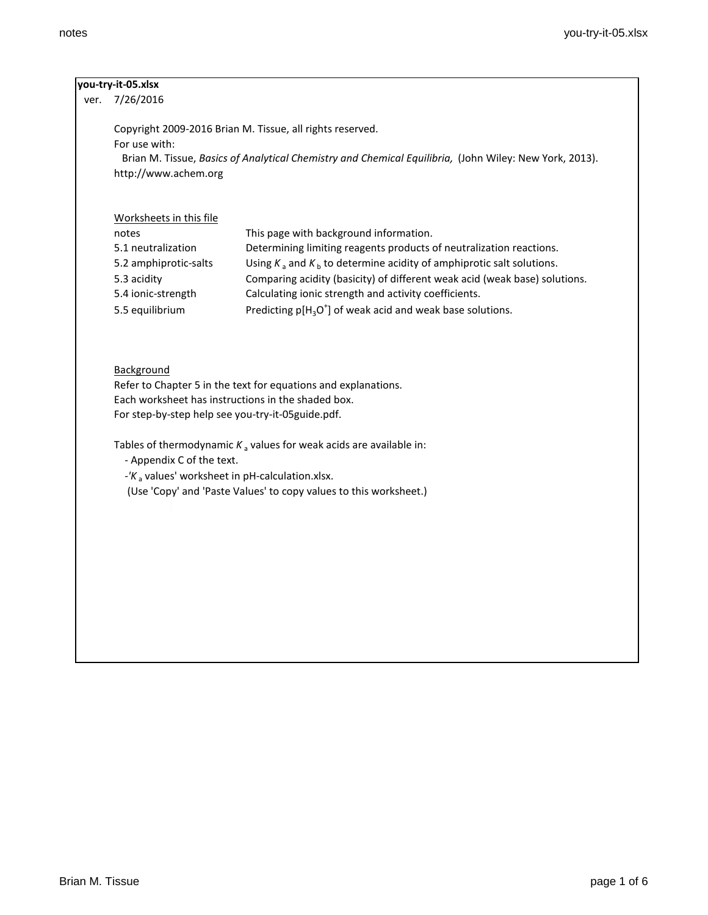| ver. | you-try-it-05.xlsx                                                                                                                                                                      |                                                                                                                        |  |  |  |  |
|------|-----------------------------------------------------------------------------------------------------------------------------------------------------------------------------------------|------------------------------------------------------------------------------------------------------------------------|--|--|--|--|
|      | 7/26/2016                                                                                                                                                                               |                                                                                                                        |  |  |  |  |
|      | Copyright 2009-2016 Brian M. Tissue, all rights reserved.                                                                                                                               |                                                                                                                        |  |  |  |  |
|      | For use with:                                                                                                                                                                           |                                                                                                                        |  |  |  |  |
|      |                                                                                                                                                                                         | Brian M. Tissue, Basics of Analytical Chemistry and Chemical Equilibria, (John Wiley: New York, 2013).                 |  |  |  |  |
|      | http://www.achem.org                                                                                                                                                                    |                                                                                                                        |  |  |  |  |
|      | Worksheets in this file                                                                                                                                                                 |                                                                                                                        |  |  |  |  |
|      | notes                                                                                                                                                                                   | This page with background information.                                                                                 |  |  |  |  |
|      | 5.1 neutralization                                                                                                                                                                      | Determining limiting reagents products of neutralization reactions.                                                    |  |  |  |  |
|      | 5.2 amphiprotic-salts                                                                                                                                                                   | Using $K_a$ and $K_b$ to determine acidity of amphiprotic salt solutions.                                              |  |  |  |  |
|      | 5.3 acidity                                                                                                                                                                             | Comparing acidity (basicity) of different weak acid (weak base) solutions.                                             |  |  |  |  |
|      | 5.4 ionic-strength                                                                                                                                                                      | Calculating ionic strength and activity coefficients.                                                                  |  |  |  |  |
|      | 5.5 equilibrium                                                                                                                                                                         | Predicting $p[H_3O^+]$ of weak acid and weak base solutions.                                                           |  |  |  |  |
|      | Background<br>Refer to Chapter 5 in the text for equations and explanations.<br>Each worksheet has instructions in the shaded box.<br>For step-by-step help see you-try-it-05guide.pdf. |                                                                                                                        |  |  |  |  |
|      |                                                                                                                                                                                         |                                                                                                                        |  |  |  |  |
|      |                                                                                                                                                                                         | Tables of thermodynamic $K_a$ values for weak acids are available in:                                                  |  |  |  |  |
|      | - Appendix C of the text.                                                                                                                                                               |                                                                                                                        |  |  |  |  |
|      |                                                                                                                                                                                         | - $K_a$ values' worksheet in pH-calculation.xlsx.<br>(Use 'Copy' and 'Paste Values' to copy values to this worksheet.) |  |  |  |  |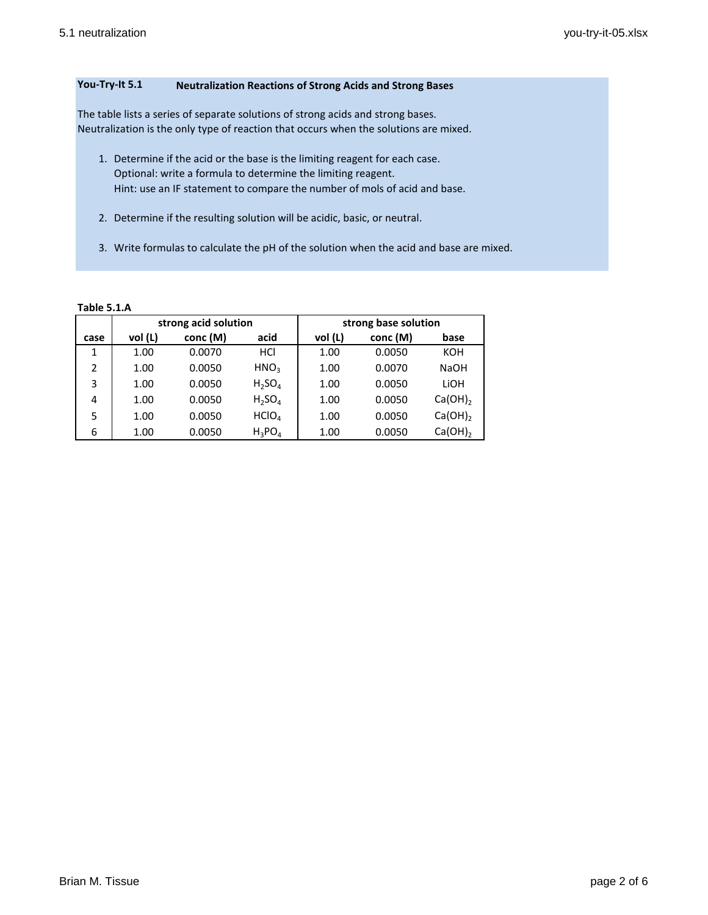# **You-Try-It 5.1 Neutralization Reactions of Strong Acids and Strong Bases**

The table lists a series of separate solutions of strong acids and strong bases. Neutralization is the only type of reaction that occurs when the solutions are mixed.

- 1. Determine if the acid or the base is the limiting reagent for each case. Optional: write a formula to determine the limiting reagent. Hint: use an IF statement to compare the number of mols of acid and base.
- 2. Determine if the resulting solution will be acidic, basic, or neutral.
- 3. Write formulas to calculate the pH of the solution when the acid and base are mixed.

## **Table 5.1.A**

|                |         | strong acid solution |                   |         | strong base solution |              |
|----------------|---------|----------------------|-------------------|---------|----------------------|--------------|
| case           | vol (L) | conc (M)             | acid              | vol (L) | conc (M)             | base         |
| 1              | 1.00    | 0.0070               | HCI               | 1.00    | 0.0050               | KOH          |
| $\overline{2}$ | 1.00    | 0.0050               | HNO <sub>3</sub>  | 1.00    | 0.0070               | <b>NaOH</b>  |
| 3              | 1.00    | 0.0050               | $H_2SO_4$         | 1.00    | 0.0050               | LIOH         |
| 4              | 1.00    | 0.0050               | $H_2SO_4$         | 1.00    | 0.0050               | $Ca(OH)_{2}$ |
| 5              | 1.00    | 0.0050               | HClO <sub>A</sub> | 1.00    | 0.0050               | Ca(OH)       |
| 6              | 1.00    | 0.0050               | $H_3PO_4$         | 1.00    | 0.0050               | Ca(OH)       |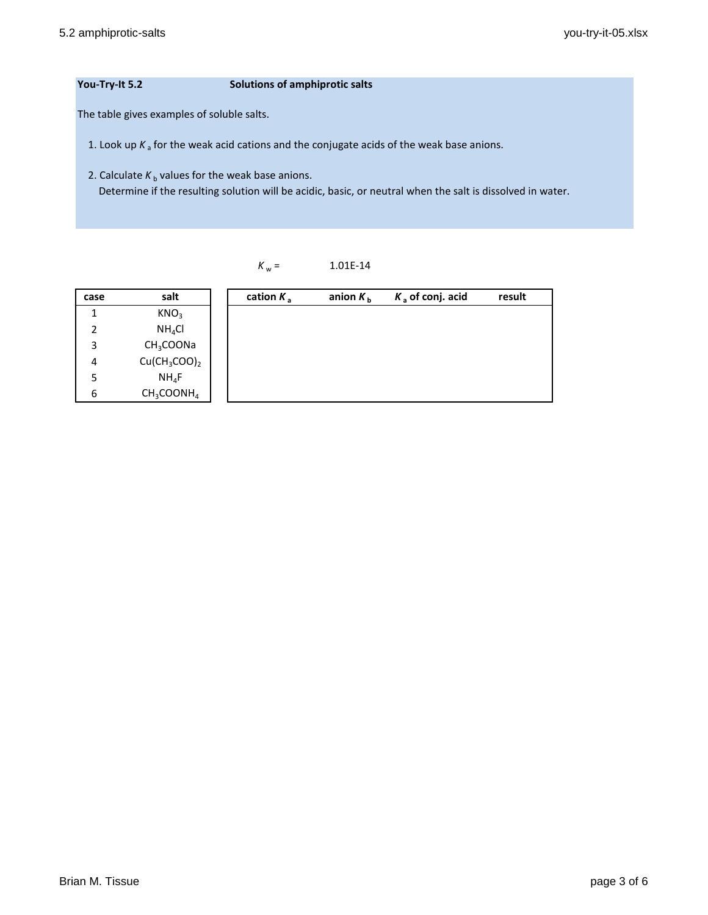## **You-Try-It 5.2 Solutions of amphiprotic salts**

The table gives examples of soluble salts.

1. Look up  $K_a$  for the weak acid cations and the conjugate acids of the weak base anions.

2. Calculate  $K_b$  values for the weak base anions. Determine if the resulting solution will be acidic, basic, or neutral when the salt is dissolved in water.

# $K_w =$  1.01E-14

| case | salt                  | cation $K_a$ | anion $K_{\rm b}$ | $K_a$ of conj. acid | result |
|------|-----------------------|--------------|-------------------|---------------------|--------|
| 1    | KNO <sub>3</sub>      |              |                   |                     |        |
| 2    | NH <sub>4</sub> Cl    |              |                   |                     |        |
| 3    | CH <sub>3</sub> COONa |              |                   |                     |        |
| 4    | $Cu(CH_3COO)_2$       |              |                   |                     |        |
| 5    | $NH_4F$               |              |                   |                     |        |
| 6    | $CH_3COONH_4$         |              |                   |                     |        |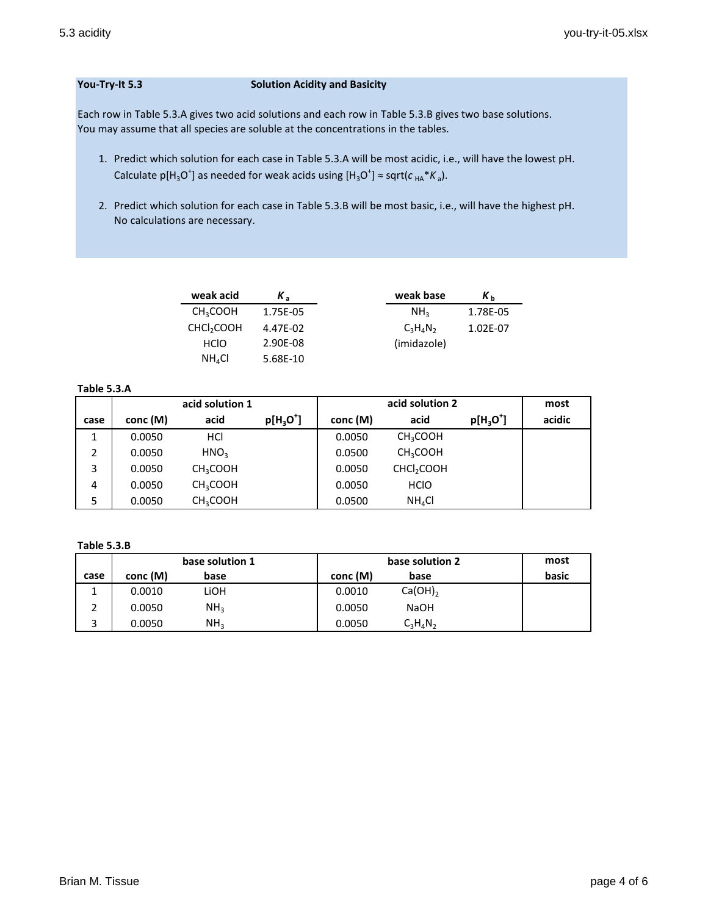### **You-Try-It 5.3 Solution Acidity and Basicity**

Each row in Table 5.3.A gives two acid solutions and each row in Table 5.3.B gives two base solutions. You may assume that all species are soluble at the concentrations in the tables.

- 1. Predict which solution for each case in Table 5.3.A will be most acidic, i.e., will have the lowest pH. Calculate  $p[H_3O^{\dagger}]$  as needed for weak acids using  $[H_3O^{\dagger}] \approx$  sqrt( $c_{HA} * K_a$ ).
- 2. Predict which solution for each case in Table 5.3.B will be most basic, i.e., will have the highest pH. No calculations are necessary.

| weak acid              | Κ,       | weak base       | Кĥ       |
|------------------------|----------|-----------------|----------|
| CH <sub>3</sub> COOH   | 1.75E-05 | NH <sub>2</sub> | 1.78E-05 |
| CHCl <sub>2</sub> COOH | 4.47E-02 | $C_3H_4N_2$     | 1.02E-07 |
| <b>HCIO</b>            | 2.90E-08 | (imidazole)     |          |
| NH <sub>4</sub> Cl     | 5.68E-10 |                 |          |

### **Table 5.3.A**

|      | acid solution 1 |                      |             | acid solution 2 |                        |                     | most   |
|------|-----------------|----------------------|-------------|-----------------|------------------------|---------------------|--------|
| case | conc (M)        | acid                 | $p[H_3O^+]$ | conc (M)        | acid                   | $p[H_3O^{\dagger}]$ | acidic |
| 1    | 0.0050          | HCI                  |             | 0.0050          | CH <sub>3</sub> COOH   |                     |        |
| 2    | 0.0050          | HNO <sub>3</sub>     |             | 0.0500          | CH <sub>3</sub> COOH   |                     |        |
| 3    | 0.0050          | CH <sub>3</sub> COOH |             | 0.0050          | CHCl <sub>2</sub> COOH |                     |        |
| 4    | 0.0050          | CH <sub>3</sub> COOH |             | 0.0050          | <b>HCIO</b>            |                     |        |
| 5    | 0.0050          | CH <sub>3</sub> COOH |             | 0.0500          | NH <sub>4</sub> Cl     |                     |        |

#### **Table 5.3.B**

|      | base solution 1 |                 | base solution 2        | most  |
|------|-----------------|-----------------|------------------------|-------|
| case | conc (M)        | base            | conc (M)<br>base       | basic |
|      | 0.0010          | LiOH            | $Ca(OH)_{2}$<br>0.0010 |       |
|      | 0.0050          | NH <sub>3</sub> | 0.0050<br><b>NaOH</b>  |       |
| 3    | 0.0050          | NH <sub>2</sub> | $C_3H_4N_2$<br>0.0050  |       |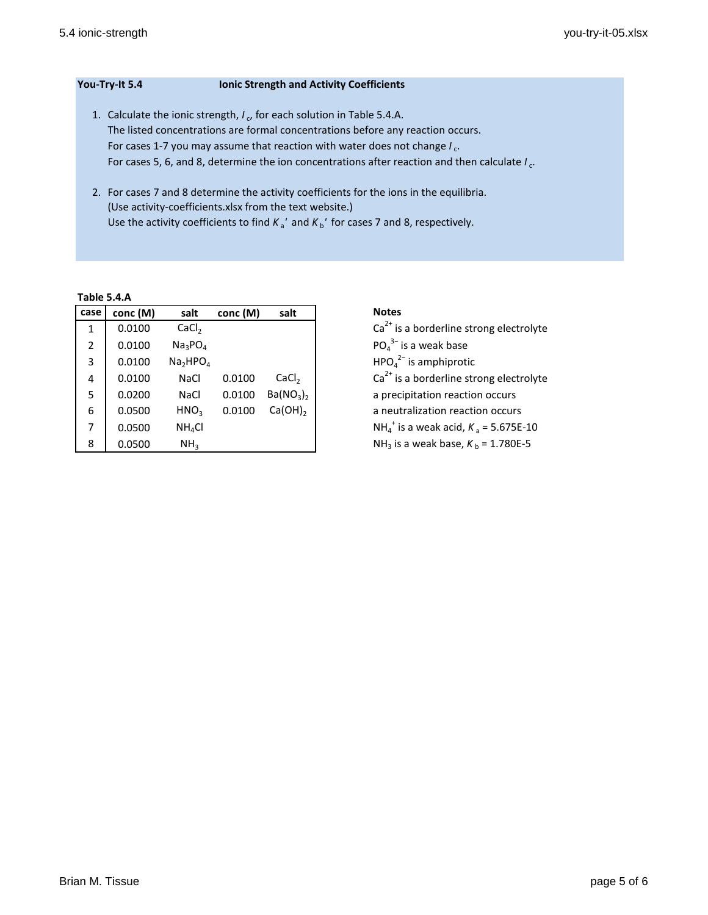| You-Try-It 5.4                                                                  | <b>Ionic Strength and Activity Coefficients</b>                                 |  |  |
|---------------------------------------------------------------------------------|---------------------------------------------------------------------------------|--|--|
|                                                                                 | 1. Calculate the ionic strength, $I_c$ , for each solution in Table 5.4.A.      |  |  |
| The listed concentrations are formal concentrations before any reaction occurs. |                                                                                 |  |  |
|                                                                                 | For cases 1-7 you may assume that reaction with water does not change $I_{c}$ . |  |  |

For cases 5, 6, and 8, determine the ion concentrations after reaction and then calculate *I*<sub>c</sub>.

2. For cases 7 and 8 determine the activity coefficients for the ions in the equilibria. (Use activity-coefficients.xlsx from the text website.) Use the activity coefficients to find  $K_a'$  and  $K_b'$  for cases 7 and 8, respectively.

**Table 5.4.A**

| case           | conc (M) | salt                             | conc (M) | salt                              |
|----------------|----------|----------------------------------|----------|-----------------------------------|
| 1              | 0.0100   | CaCl <sub>2</sub>                |          |                                   |
| $\overline{2}$ | 0.0100   | Na <sub>3</sub> PO <sub>4</sub>  |          |                                   |
| 3              | 0.0100   | Na <sub>2</sub> HPO <sub>4</sub> |          |                                   |
| 4              | 0.0100   | <b>NaCl</b>                      | 0.0100   | CaCl <sub>2</sub>                 |
| 5              | 0.0200   | <b>NaCl</b>                      | 0.0100   | Ba(NO <sub>3</sub> ) <sub>2</sub> |
| 6              | 0.0500   | HNO <sub>3</sub>                 | 0.0100   | $Ca(OH)_{2}$                      |
| 7              | 0.0500   | NH <sub>4</sub> Cl               |          |                                   |
| 8              | 0.0500   | NH <sub>3</sub>                  |          |                                   |

 $Ca^{2+}$  is a borderline strong electrolyte  $PO_4^{3-}$  is a weak base  $HPO<sub>4</sub><sup>2−</sup>$  is amphiprotic  $Ca<sup>2+</sup>$  is a borderline strong electrolyte a precipitation reaction occurs a neutralization reaction occurs  $i$ <sup>+</sup> is a weak acid,  $K$ <sub>a</sub> = 5.675E-10  $NH_3$  is a weak base,  $K_b = 1.780E - 5$